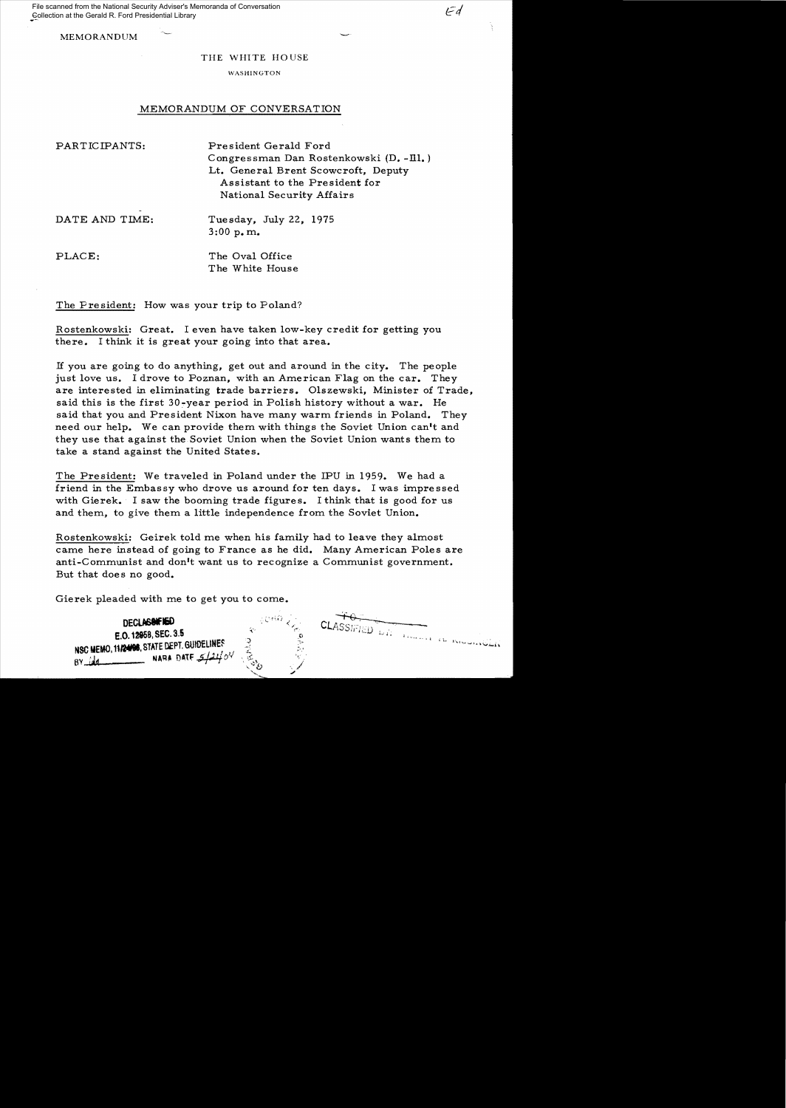File scanned from the National Security Adviser's Memoranda of Conversation Collection at the Gerald R. Ford Presidential Library

**MEMORANDUM** 

## THE WHITE HOUSE

 $\mathcal{F}d$ 

## WASHINGTON

## MEMORANDUM OF CONVERSATION

| PARTICIPANTS:  | President Gerald Ford<br>Congressman Dan Rostenkowski (D. -Ill.)<br>Lt. General Brent Scowcroft, Deputy<br>Assistant to the President for<br>National Security Affairs |
|----------------|------------------------------------------------------------------------------------------------------------------------------------------------------------------------|
| DATE AND TIME: | Tuesday, July 22, 1975<br>3:00 p.m.                                                                                                                                    |
| PLACE:         | The Oval Office<br>The White House                                                                                                                                     |

The President: How was your trip to Poland?

Rostenkowski: Great. I even have taken low-key credit for getting you there. I think it is great your going into that area.

If you are going to do anything, get out and around in the city. The people just love us. I drove to Poznan, with an American Flag on the car. They are interested in eliminating trade barriers. Olszewski, Minister of Trade, said this is the first 30-year period in Polish history without a war. He said that you and President Nixon have many warm friends in Poland. They need our help. We can provide them with things the Soviet Union can't and they use that against the Soviet Union when the Soviet Union wants them to take a stand against the United States.

The President: We traveled in Poland under the IPU in 1959. We had a friend in the Embassy who drove us around for ten days. I was impressed with Gierek. I saw the booming trade figures. I think that is good for us and them, to give them a little independence from the Soviet Union.

Rostenkowski: Geirek told me when his family had to leave they almost came here instead of going to France as he did. Many American Poles are anti-Communist and don't want us to recognize a Communist government. But that does no good.

Gierek pleaded with me to get you to come.

| ిత | <b>DECLASINE NED</b><br>E.O. 12958, SEC. 3.5<br>NSC MEMO, 11/24/98, STATE DEPT. GUIDELINES<br>NARA DATE $5/21/0$<br>A٧ | 二〇かけ。<br>ی. | Ð<br>20 | رائات<br>التهاوية فطافات<br>المستقبل والمقاملة مستعادة والمستقبل |  |
|----|------------------------------------------------------------------------------------------------------------------------|-------------|---------|------------------------------------------------------------------|--|
|----|------------------------------------------------------------------------------------------------------------------------|-------------|---------|------------------------------------------------------------------|--|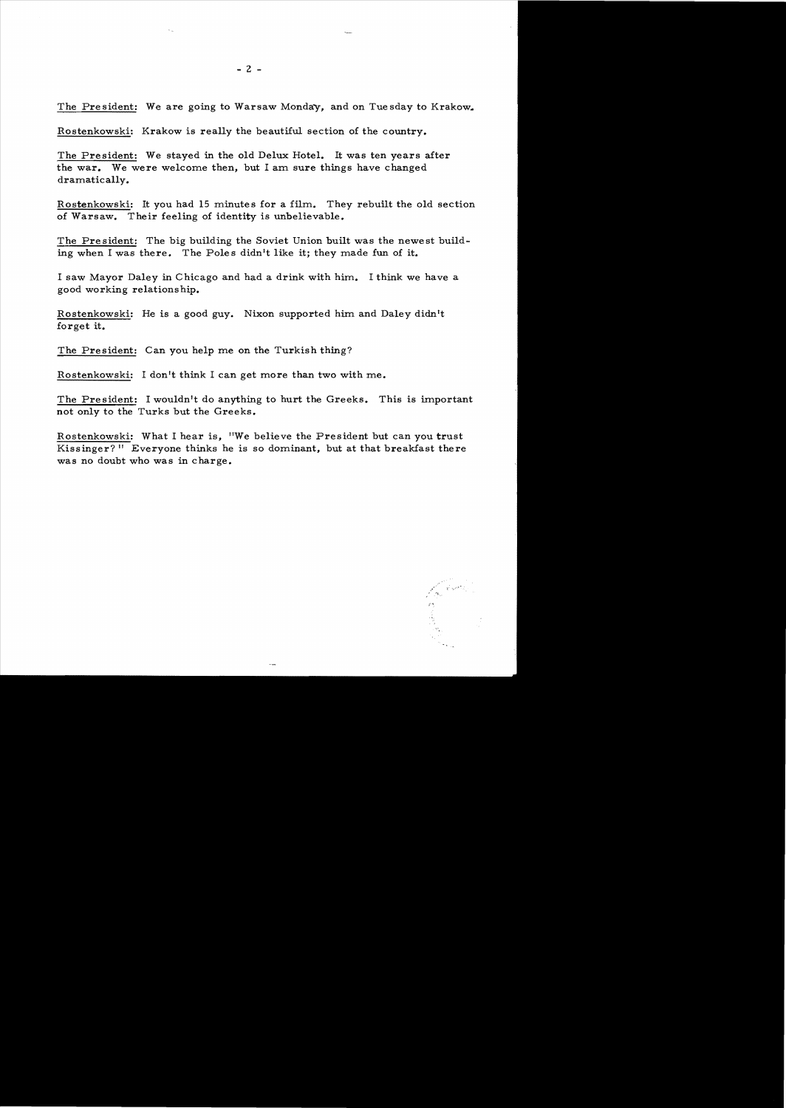The President: We are going to Warsaw Monday, and on Tuesday to Krakow.

Rostenkowski: Krakow is really the beautiful section of the country.

The President: We stayed in the old Delux Hotel. It was ten years after the war. We were welcome then, but I am sure things have changed dramatically.

Rostenkowski: It you had 15 minutes for a film. They rebuilt the old section of Warsaw. Their feeling of identity is unbelievable.

The President: The big building the Soviet Union built was the newest building when I was there. The Poles didn't like it; they made fun of it.

I saw Mayor Daley in Chicago and had a drink with him. I think we have a good working relationship.

Rostenkowski: He is a good guy. Nixon supported him and Daley didn't forget it.

The President: Can you help me on the Turkish thing?

Rostenkowski: I don't think I can get more than two with me.

The President: I wouldn't do anything to hurt the Greeks. This is important not only to the Turks but the Greeks.

Rostenkowski: What I hear is, "We believe the President but can you trust Kissinger?" Everyone thinks he is so dominant, but at that breakfast there was no doubt who was in charge.

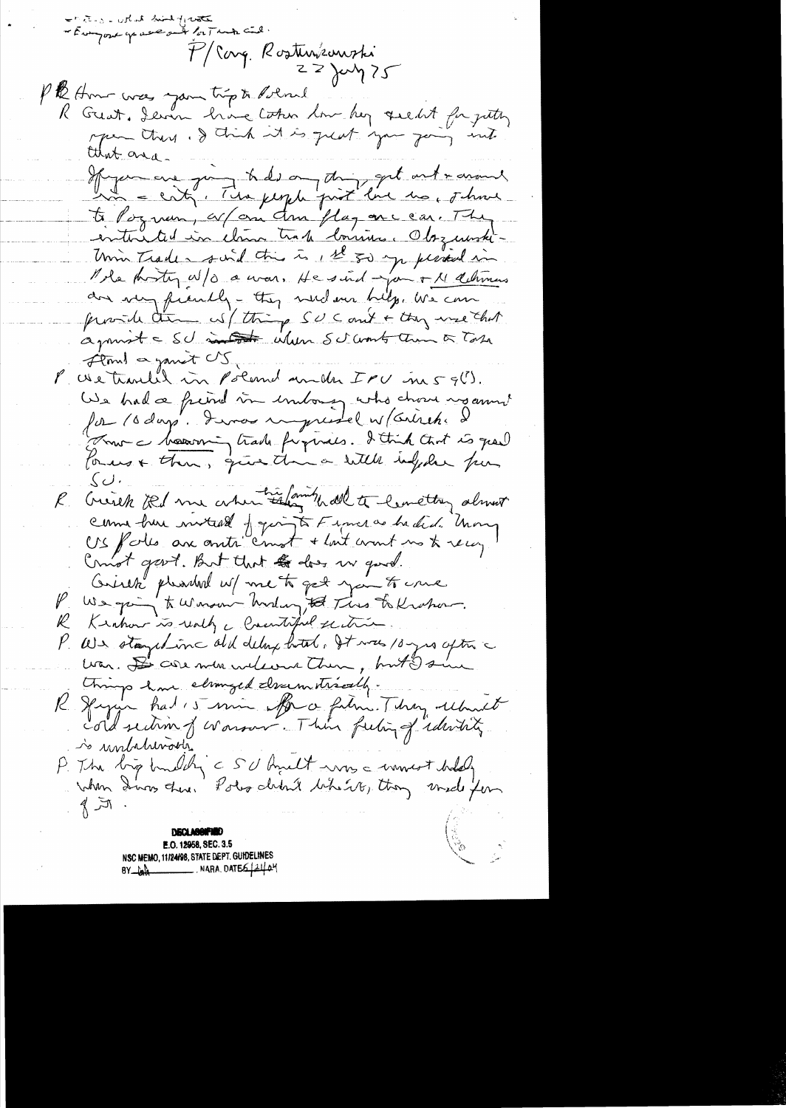- The south mind of water P/Carg. Rosturismoki Pth Amor was you trip to detroit R Great, deven hive token low her quelet for juthy mper there . I think it is great you join int that area. Hyaman quinquite des ones print fait and morning to Poquem, espan Am plagancear. They entire ted in clans trade louriss. Obsquarte-Unin Trader suid this is, It so you period in Mole proteça/o a vous. He sind jou + 11 débiens an very frenchy - they were being, we can provide the wil thing SUC and + they use that agmost = SU metal when SU work them a Tobe Fland a gamet US We tranked in Poland and IPU in 59(!). We had a friend in unbong who chose us anni for 10 days. Invas impressel n/Cristiens France bourning trade fugires. I think that is great  $\zeta$   $\cup$   $\cdot$ R Creich Il me about the family all to leave they almost comme hur motard paper to Fince as he did. Unony US follo are anti-emot + lost count no to recon Count gart. But that to does my good.<br>Cristen pleasant w/ me to got you to usual P We going to Winson harding to This to Known. Kinhow is really a Countiful section.  $\not\!\!\!K$ We stayed in ald delay hotel, It was 10 yes after a  $\rho_{\parallel}$ war. De core men welcome them, but Is things have elimined discursionally. Spagner had 15 min offer a film. They returned so unbilimada P. The big buildy's SU hult was a woment hold,<br>when Dura there Poles debut beheve, they would fen  $\pi$ **DECLASSIFIED** E.O. 12958, SEC. 3.5 NSC MEMO, 11/24/98, STATE DEPT. GUIDELINES  $8Y$  by  $\frac{1}{2}$